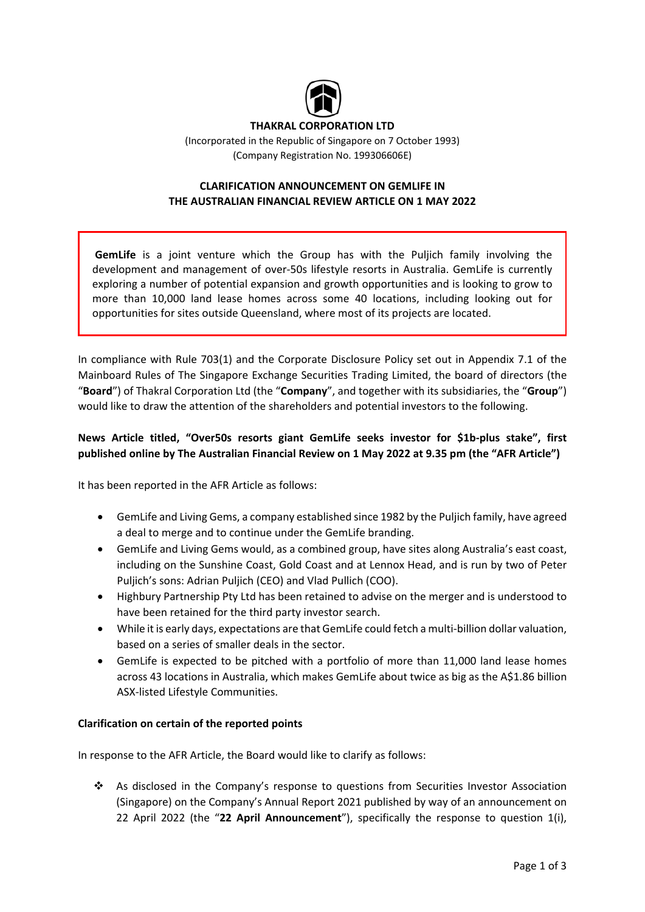

### **THAKRAL CORPORATION LTD**

(Incorporated in the Republic of Singapore on 7 October 1993) (Company Registration No. 199306606E)

# **CLARIFICATION ANNOUNCEMENT ON GEMLIFE IN THE AUSTRALIAN FINANCIAL REVIEW ARTICLE ON 1 MAY 2022**

**GemLife** is a joint venture which the Group has with the Puljich family involving the development and management of over‐50s lifestyle resorts in Australia. GemLife is currently exploring a number of potential expansion and growth opportunities and is looking to grow to more than 10,000 land lease homes across some 40 locations, including looking out for opportunities for sites outside Queensland, where most of its projects are located.

In compliance with Rule 703(1) and the Corporate Disclosure Policy set out in Appendix 7.1 of the Mainboard Rules of The Singapore Exchange Securities Trading Limited, the board of directors (the "**Board**") of Thakral Corporation Ltd (the "**Company**", and together with its subsidiaries, the "**Group**") would like to draw the attention of the shareholders and potential investors to the following.

# **News Article titled, "Over50s resorts giant GemLife seeks investor for \$1b‐plus stake", first published online by The Australian Financial Review on 1 May 2022 at 9.35 pm (the "AFR Article")**

It has been reported in the AFR Article as follows:

- GemLife and Living Gems, a company established since 1982 by the Puljich family, have agreed a deal to merge and to continue under the GemLife branding.
- GemLife and Living Gems would, as a combined group, have sites along Australia's east coast, including on the Sunshine Coast, Gold Coast and at Lennox Head, and is run by two of Peter Puljich's sons: Adrian Puljich (CEO) and Vlad Pullich (COO).
- Highbury Partnership Pty Ltd has been retained to advise on the merger and is understood to have been retained for the third party investor search.
- While it is early days, expectations are that GemLife could fetch a multi-billion dollar valuation, based on a series of smaller deals in the sector.
- GemLife is expected to be pitched with a portfolio of more than 11,000 land lease homes across 43 locations in Australia, which makes GemLife about twice as big as the A\$1.86 billion ASX‐listed Lifestyle Communities.

### **Clarification on certain of the reported points**

In response to the AFR Article, the Board would like to clarify as follows:

 As disclosed in the Company's response to questions from Securities Investor Association (Singapore) on the Company's Annual Report 2021 published by way of an announcement on 22 April 2022 (the "22 April Announcement"), specifically the response to question 1(i),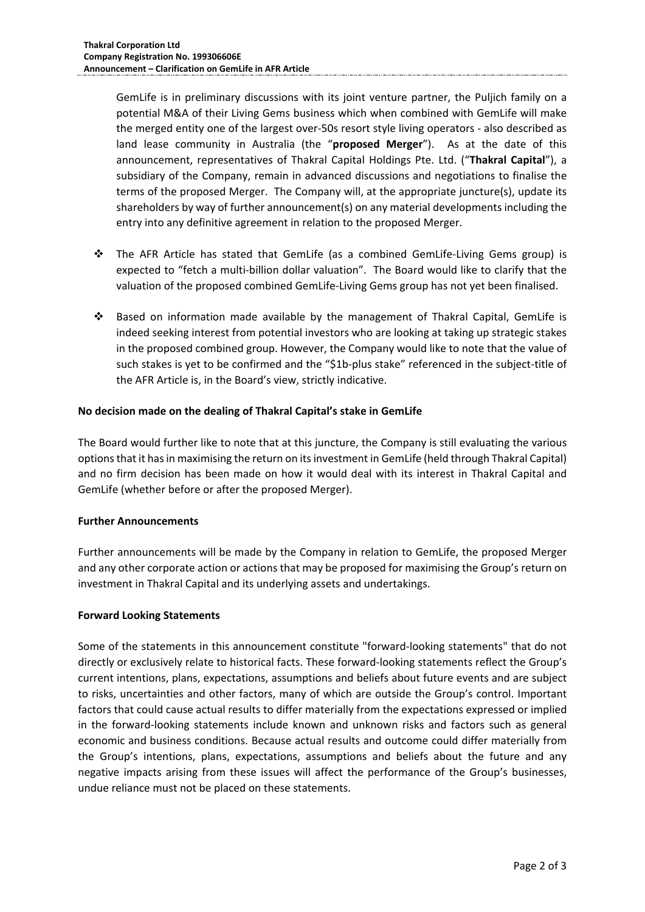GemLife is in preliminary discussions with its joint venture partner, the Puljich family on a potential M&A of their Living Gems business which when combined with GemLife will make the merged entity one of the largest over‐50s resort style living operators ‐ also described as land lease community in Australia (the "proposed Merger"). As at the date of this announcement, representatives of Thakral Capital Holdings Pte. Ltd. ("**Thakral Capital**"), a subsidiary of the Company, remain in advanced discussions and negotiations to finalise the terms of the proposed Merger. The Company will, at the appropriate juncture(s), update its shareholders by way of further announcement(s) on any material developments including the entry into any definitive agreement in relation to the proposed Merger.

- The AFR Article has stated that GemLife (as a combined GemLife‐Living Gems group) is expected to "fetch a multi-billion dollar valuation". The Board would like to clarify that the valuation of the proposed combined GemLife‐Living Gems group has not yet been finalised.
- Based on information made available by the management of Thakral Capital, GemLife is indeed seeking interest from potential investors who are looking at taking up strategic stakes in the proposed combined group. However, the Company would like to note that the value of such stakes is yet to be confirmed and the "\$1b-plus stake" referenced in the subject-title of the AFR Article is, in the Board's view, strictly indicative.

### **No decision made on the dealing of Thakral Capital's stake in GemLife**

The Board would further like to note that at this juncture, the Company is still evaluating the various options that it has in maximising the return on its investment in GemLife (held through Thakral Capital) and no firm decision has been made on how it would deal with its interest in Thakral Capital and GemLife (whether before or after the proposed Merger).

### **Further Announcements**

Further announcements will be made by the Company in relation to GemLife, the proposed Merger and any other corporate action or actions that may be proposed for maximising the Group's return on investment in Thakral Capital and its underlying assets and undertakings.

### **Forward Looking Statements**

Some of the statements in this announcement constitute "forward-looking statements" that do not directly or exclusively relate to historical facts. These forward‐looking statements reflect the Group's current intentions, plans, expectations, assumptions and beliefs about future events and are subject to risks, uncertainties and other factors, many of which are outside the Group's control. Important factors that could cause actual results to differ materially from the expectations expressed or implied in the forward‐looking statements include known and unknown risks and factors such as general economic and business conditions. Because actual results and outcome could differ materially from the Group's intentions, plans, expectations, assumptions and beliefs about the future and any negative impacts arising from these issues will affect the performance of the Group's businesses, undue reliance must not be placed on these statements.